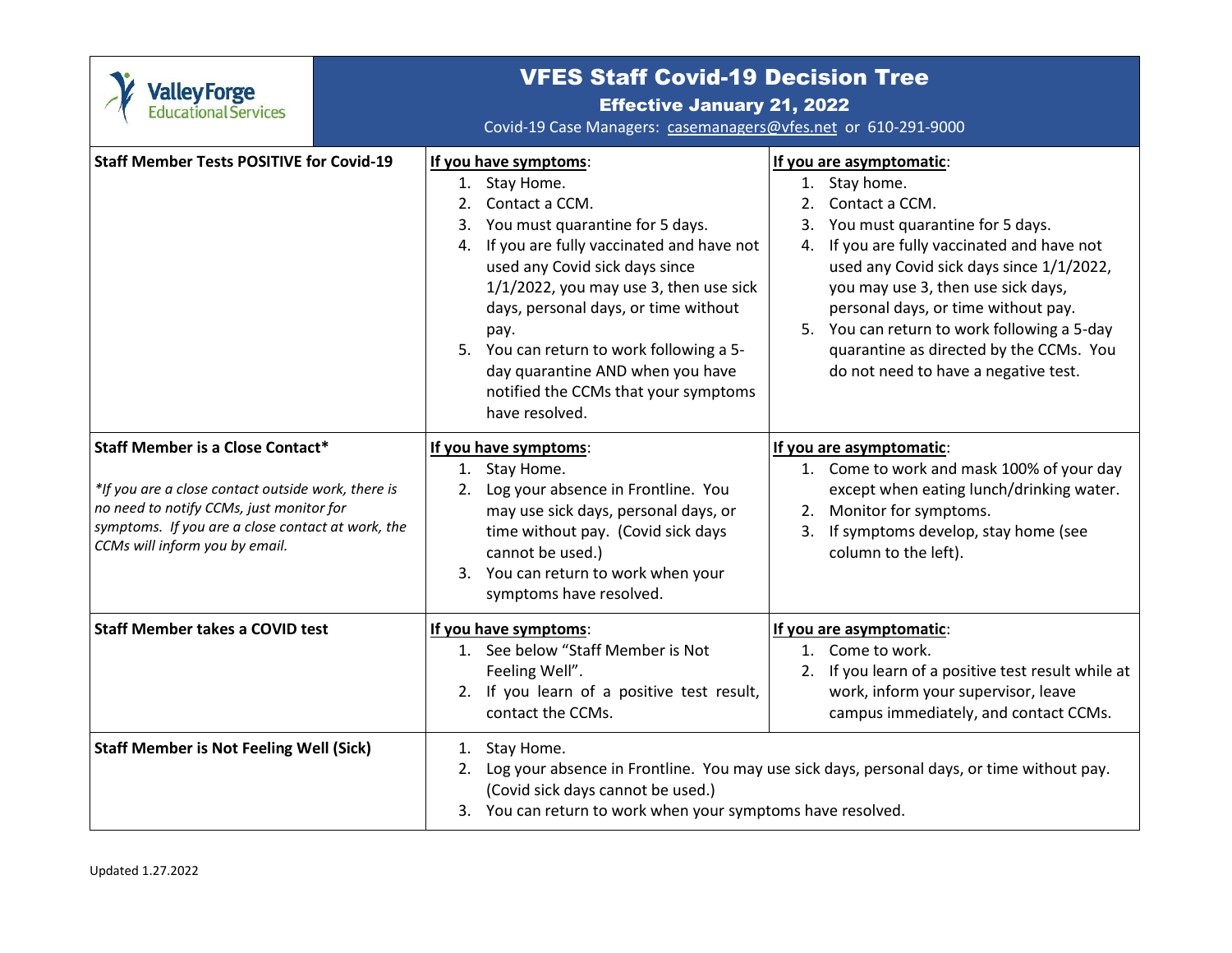| <b>Valley Forge</b><br>Educational Services                                                                                                                                                                                      | <b>VFES Staff Covid-19 Decision Tree</b><br><b>Effective January 21, 2022</b><br>Covid-19 Case Managers: casemanagers@vfes.net or 610-291-9000                                                                                                                                                                                                                                                                            |                                                                                                                                                                                                                                                                                                                                                                                                                   |  |
|----------------------------------------------------------------------------------------------------------------------------------------------------------------------------------------------------------------------------------|---------------------------------------------------------------------------------------------------------------------------------------------------------------------------------------------------------------------------------------------------------------------------------------------------------------------------------------------------------------------------------------------------------------------------|-------------------------------------------------------------------------------------------------------------------------------------------------------------------------------------------------------------------------------------------------------------------------------------------------------------------------------------------------------------------------------------------------------------------|--|
| <b>Staff Member Tests POSITIVE for Covid-19</b>                                                                                                                                                                                  | If you have symptoms:<br>1. Stay Home.<br>2. Contact a CCM.<br>3. You must quarantine for 5 days.<br>4. If you are fully vaccinated and have not<br>used any Covid sick days since<br>$1/1/2022$ , you may use 3, then use sick<br>days, personal days, or time without<br>pay.<br>5. You can return to work following a 5-<br>day quarantine AND when you have<br>notified the CCMs that your symptoms<br>have resolved. | If you are asymptomatic:<br>1. Stay home.<br>Contact a CCM.<br>2.<br>3. You must quarantine for 5 days.<br>4. If you are fully vaccinated and have not<br>used any Covid sick days since 1/1/2022,<br>you may use 3, then use sick days,<br>personal days, or time without pay.<br>5. You can return to work following a 5-day<br>quarantine as directed by the CCMs. You<br>do not need to have a negative test. |  |
| <b>Staff Member is a Close Contact*</b><br>*If you are a close contact outside work, there is<br>no need to notify CCMs, just monitor for<br>symptoms. If you are a close contact at work, the<br>CCMs will inform you by email. | If you have symptoms:<br>1. Stay Home.<br>2. Log your absence in Frontline. You<br>may use sick days, personal days, or<br>time without pay. (Covid sick days<br>cannot be used.)<br>3. You can return to work when your<br>symptoms have resolved.                                                                                                                                                                       | If you are asymptomatic:<br>1. Come to work and mask 100% of your day<br>except when eating lunch/drinking water.<br>2. Monitor for symptoms.<br>3. If symptoms develop, stay home (see<br>column to the left).                                                                                                                                                                                                   |  |
| <b>Staff Member takes a COVID test</b>                                                                                                                                                                                           | If you have symptoms:<br>1. See below "Staff Member is Not<br>Feeling Well".<br>2. If you learn of a positive test result,<br>contact the CCMs.                                                                                                                                                                                                                                                                           | If you are asymptomatic:<br>1. Come to work.<br>If you learn of a positive test result while at<br>2.<br>work, inform your supervisor, leave<br>campus immediately, and contact CCMs.                                                                                                                                                                                                                             |  |
| <b>Staff Member is Not Feeling Well (Sick)</b>                                                                                                                                                                                   | 1. Stay Home.<br>Log your absence in Frontline. You may use sick days, personal days, or time without pay.<br>2.<br>(Covid sick days cannot be used.)<br>3. You can return to work when your symptoms have resolved.                                                                                                                                                                                                      |                                                                                                                                                                                                                                                                                                                                                                                                                   |  |